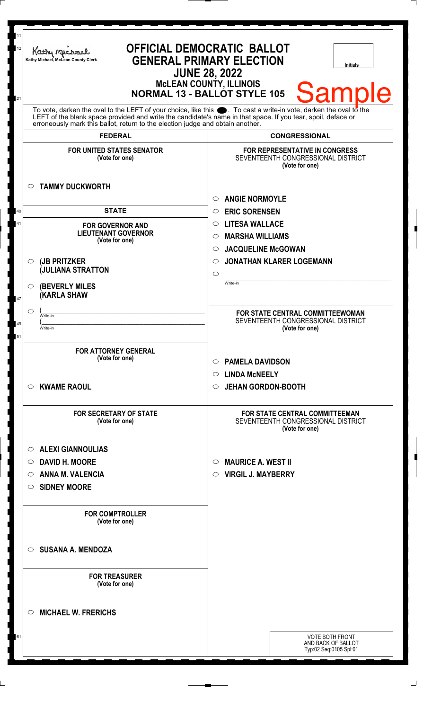| 11<br>12<br>21 | <b>OFFICIAL DEMOCRATIC BALLOT</b><br>Kathy Michael<br><b>GENERAL PRIMARY ELECTION</b><br>Kathy Michael, McLean County Clerk<br><b>Initials</b><br><b>JUNE 28, 2022</b><br><b>McLEAN COUNTY, ILLINOIS</b><br>Samp<br>Ie<br><b>NORMAL 13 - BALLOT STYLE 105</b>                                                          |                                                                                        |
|----------------|------------------------------------------------------------------------------------------------------------------------------------------------------------------------------------------------------------------------------------------------------------------------------------------------------------------------|----------------------------------------------------------------------------------------|
|                | To vote, darken the oval to the LEFT of your choice, like this $\bullet$ . To cast a write-in vote, darken the oval to the LEFT of the blank space provided and write the candidate's name in that space. If you tear, spoil, deface<br>erroneously mark this ballot, return to the election judge and obtain another. |                                                                                        |
|                | <b>FEDERAL</b>                                                                                                                                                                                                                                                                                                         | <b>CONGRESSIONAL</b>                                                                   |
|                | <b>FOR UNITED STATES SENATOR</b><br>(Vote for one)<br><b>TAMMY DUCKWORTH</b><br>$\circ$                                                                                                                                                                                                                                | FOR REPRESENTATIVE IN CONGRESS<br>SEVENTEENTH CONGRESSIONAL DISTRICT<br>(Vote for one) |
|                |                                                                                                                                                                                                                                                                                                                        | <b>ANGIE NORMOYLE</b><br>O                                                             |
| 40             | <b>STATE</b>                                                                                                                                                                                                                                                                                                           | <b>ERIC SORENSEN</b><br>$\circ$                                                        |
| 41             | <b>FOR GOVERNOR AND</b>                                                                                                                                                                                                                                                                                                | <b>LITESA WALLACE</b><br>$\circ$                                                       |
|                | <b>LIEUTENANT GOVERNOR</b><br>(Vote for one)                                                                                                                                                                                                                                                                           | <b>MARSHA WILLIAMS</b><br>$\circlearrowright$                                          |
|                |                                                                                                                                                                                                                                                                                                                        | <b>JACQUELINE McGOWAN</b><br>$\circlearrowright$                                       |
|                | (JB PRITZKER<br>$\circ$                                                                                                                                                                                                                                                                                                | <b>JONATHAN KLARER LOGEMANN</b><br>$\circlearrowright$                                 |
|                | <b>JULIANA STRATTON</b>                                                                                                                                                                                                                                                                                                | $\circ$                                                                                |
| 47             | <b>(BEVERLY MILES)</b><br>$\circ$<br><b>KARLA SHAW</b>                                                                                                                                                                                                                                                                 | Write-in                                                                               |
|                | $\circ$<br>Write-in                                                                                                                                                                                                                                                                                                    | FOR STATE CENTRAL COMMITTEEWOMAN                                                       |
| 49             | Write-in                                                                                                                                                                                                                                                                                                               | SEVENTEENTH CONGRESSIONAL DISTRICT<br>(Vote for one)                                   |
| 51             |                                                                                                                                                                                                                                                                                                                        |                                                                                        |
|                | <b>FOR ATTORNEY GENERAL</b><br>(Vote for one)                                                                                                                                                                                                                                                                          | <b>PAMELA DAVIDSON</b><br>O<br><b>LINDA MCNEELY</b><br>O                               |
|                | <b>KWAME RAOUL</b><br>O                                                                                                                                                                                                                                                                                                | <b>JEHAN GORDON-BOOTH</b><br>$\circ$                                                   |
|                |                                                                                                                                                                                                                                                                                                                        |                                                                                        |
|                | <b>FOR SECRETARY OF STATE</b><br>(Vote for one)                                                                                                                                                                                                                                                                        | FOR STATE CENTRAL COMMITTEEMAN<br>SEVENTEENTH CONGRESSIONAL DISTRICT<br>(Vote for one) |
|                | <b>ALEXI GIANNOULIAS</b><br>$\circ$                                                                                                                                                                                                                                                                                    |                                                                                        |
|                | <b>DAVID H. MOORE</b><br>$\circ$                                                                                                                                                                                                                                                                                       | <b>MAURICE A. WEST II</b><br>$\circ$                                                   |
|                | <b>ANNA M. VALENCIA</b><br>O                                                                                                                                                                                                                                                                                           | <b>VIRGIL J. MAYBERRY</b><br>$\circ$                                                   |
|                | <b>SIDNEY MOORE</b><br>O                                                                                                                                                                                                                                                                                               |                                                                                        |
|                | <b>FOR COMPTROLLER</b><br>(Vote for one)                                                                                                                                                                                                                                                                               |                                                                                        |
|                |                                                                                                                                                                                                                                                                                                                        |                                                                                        |
|                | <b>SUSANA A. MENDOZA</b><br>◯                                                                                                                                                                                                                                                                                          |                                                                                        |
|                | <b>FOR TREASURER</b><br>(Vote for one)                                                                                                                                                                                                                                                                                 |                                                                                        |
|                | <b>MICHAEL W. FRERICHS</b><br>◯                                                                                                                                                                                                                                                                                        |                                                                                        |
| 61             |                                                                                                                                                                                                                                                                                                                        | <b>VOTE BOTH FRONT</b>                                                                 |
|                |                                                                                                                                                                                                                                                                                                                        | AND BACK OF BALLOT<br>Typ:02 Seq:0105 Spl:01                                           |
|                |                                                                                                                                                                                                                                                                                                                        |                                                                                        |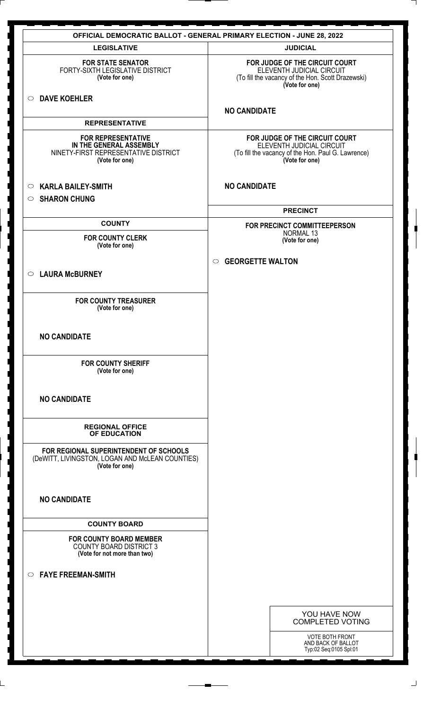|                                                                                                                | <b>OFFICIAL DEMOCRATIC BALLOT - GENERAL PRIMARY ELECTION - JUNE 28, 2022</b>                                                        |
|----------------------------------------------------------------------------------------------------------------|-------------------------------------------------------------------------------------------------------------------------------------|
| <b>LEGISLATIVE</b>                                                                                             | <b>JUDICIAL</b>                                                                                                                     |
| <b>FOR STATE SENATOR</b><br>FORTY-SIXTH LEGISLATIVE DISTRICT<br>(Vote for one)                                 | FOR JUDGE OF THE CIRCUIT COURT<br>ELEVENTH JUDICIAL CIRCUIT<br>(To fill the vacancy of the Hon. Scott Drazewski)<br>(Vote for one)  |
| <b>DAVE KOEHLER</b><br>$\circ$                                                                                 | <b>NO CANDIDATE</b>                                                                                                                 |
| <b>REPRESENTATIVE</b>                                                                                          |                                                                                                                                     |
| <b>FOR REPRESENTATIVE</b><br>IN THE GENERAL ASSEMBLY<br>NINETY-FIRST REPRESENTATIVE DISTRICT<br>(Vote for one) | FOR JUDGE OF THE CIRCUIT COURT<br>ELEVENTH JUDICIAL CIRCUIT<br>(To fill the vacancy of the Hon. Paul G. Lawrence)<br>(Vote for one) |
| <b>KARLA BAILEY-SMITH</b><br>$\circ$                                                                           | <b>NO CANDIDATE</b>                                                                                                                 |
| <b>SHARON CHUNG</b><br>$\circ$                                                                                 |                                                                                                                                     |
|                                                                                                                | <b>PRECINCT</b>                                                                                                                     |
| <b>COUNTY</b>                                                                                                  | FOR PRECINCT COMMITTEEPERSON<br><b>NORMAL 13</b>                                                                                    |
| <b>FOR COUNTY CLERK</b><br>(Vote for one)                                                                      | (Vote for one)                                                                                                                      |
|                                                                                                                | $\circ$ GEORGETTE WALTON                                                                                                            |
| <b>LAURA McBURNEY</b><br>$\circ$                                                                               |                                                                                                                                     |
| <b>FOR COUNTY TREASURER</b><br>(Vote for one)                                                                  |                                                                                                                                     |
| <b>NO CANDIDATE</b>                                                                                            |                                                                                                                                     |
| <b>FOR COUNTY SHERIFF</b><br>(Vote for one)                                                                    |                                                                                                                                     |
| <b>NO CANDIDATE</b>                                                                                            |                                                                                                                                     |
| <b>REGIONAL OFFICE</b><br>OF EDUCATION                                                                         |                                                                                                                                     |
| FOR REGIONAL SUPERINTENDENT OF SCHOOLS<br>(DeWITT, LIVINGSTON, LOGAN AND McLEAN COUNTIES)<br>(Vote for one)    |                                                                                                                                     |
| <b>NO CANDIDATE</b>                                                                                            |                                                                                                                                     |
| <b>COUNTY BOARD</b>                                                                                            |                                                                                                                                     |
| <b>FOR COUNTY BOARD MEMBER</b><br><b>COUNTY BOARD DISTRICT 3</b><br>(Vote for not more than two)               |                                                                                                                                     |
| <b>FAYE FREEMAN-SMITH</b><br>$\circ$                                                                           |                                                                                                                                     |
|                                                                                                                |                                                                                                                                     |
|                                                                                                                | YOU HAVE NOW<br><b>COMPLETED VOTING</b>                                                                                             |
|                                                                                                                | <b>VOTE BOTH FRONT</b><br>AND BACK OF BALLOT<br>Typ:02 Seq:0105 Spl:01                                                              |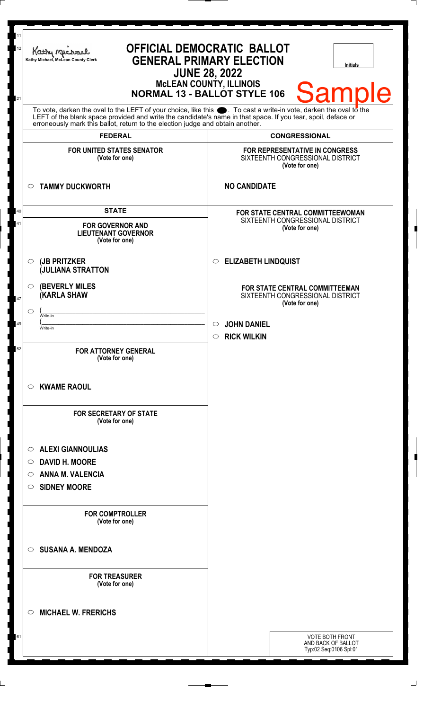| 11<br>12<br>21                                                                                                                                                                                                                                                                                                         | <b>OFFICIAL DEMOCRATIC BALLOT</b><br>Kathy Myre<br><b>GENERAL PRIMARY ELECTION</b><br>Kathy Michael, McLean County Clerk<br><b>Initials</b><br><b>JUNE 28, 2022</b><br>McLEAN COUNTY, ILLINOIS<br>NORMAL 13 - BALLOT STYLE 106<br><b>Sample</b> |                                                                                        |
|------------------------------------------------------------------------------------------------------------------------------------------------------------------------------------------------------------------------------------------------------------------------------------------------------------------------|-------------------------------------------------------------------------------------------------------------------------------------------------------------------------------------------------------------------------------------------------|----------------------------------------------------------------------------------------|
| To vote, darken the oval to the LEFT of your choice, like this $\bullet$ . To cast a write-in vote, darken the oval to the LEFT of the blank space provided and write the candidate's name in that space. If you tear, spoil, deface<br>erroneously mark this ballot, return to the election judge and obtain another. |                                                                                                                                                                                                                                                 |                                                                                        |
|                                                                                                                                                                                                                                                                                                                        | <b>FEDERAL</b>                                                                                                                                                                                                                                  | <b>CONGRESSIONAL</b>                                                                   |
|                                                                                                                                                                                                                                                                                                                        | <b>FOR UNITED STATES SENATOR</b><br>(Vote for one)                                                                                                                                                                                              | FOR REPRESENTATIVE IN CONGRESS<br>SIXTEENTH CONGRESSIONAL DISTRICT<br>(Vote for one)   |
|                                                                                                                                                                                                                                                                                                                        | <b>TAMMY DUCKWORTH</b><br>$\circ$                                                                                                                                                                                                               | <b>NO CANDIDATE</b>                                                                    |
| 40<br>41                                                                                                                                                                                                                                                                                                               | <b>STATE</b><br><b>FOR GOVERNOR AND</b><br><b>LIEUTENANT GOVERNOR</b><br>(Vote for one)                                                                                                                                                         | FOR STATE CENTRAL COMMITTEEWOMAN<br>SIXTEENTH CONGRESSIONAL DISTRICT<br>(Vote for one) |
|                                                                                                                                                                                                                                                                                                                        | (JB PRITZKER<br>O<br><b>JULIANA STRATTON</b>                                                                                                                                                                                                    | <b>ELIZABETH LINDQUIST</b><br>$\circ$                                                  |
| 47                                                                                                                                                                                                                                                                                                                     | <b>(BEVERLY MILES)</b><br>$\circ$<br><b>KARLA SHAW</b>                                                                                                                                                                                          | FOR STATE CENTRAL COMMITTEEMAN<br>SIXTEENTH CONGRESSIONAL DISTRICT<br>(Vote for one)   |
|                                                                                                                                                                                                                                                                                                                        | ◯<br>Write-in                                                                                                                                                                                                                                   |                                                                                        |
| 49                                                                                                                                                                                                                                                                                                                     | Write-in                                                                                                                                                                                                                                        | <b>JOHN DANIEL</b><br>$\circ$<br><b>RICK WILKIN</b><br>$\circ$                         |
| 52                                                                                                                                                                                                                                                                                                                     | <b>FOR ATTORNEY GENERAL</b><br>(Vote for one)                                                                                                                                                                                                   |                                                                                        |
|                                                                                                                                                                                                                                                                                                                        | <b>KWAME RAOUL</b><br>C).                                                                                                                                                                                                                       |                                                                                        |
|                                                                                                                                                                                                                                                                                                                        | <b>FOR SECRETARY OF STATE</b><br>(Vote for one)                                                                                                                                                                                                 |                                                                                        |
|                                                                                                                                                                                                                                                                                                                        | <b>ALEXI GIANNOULIAS</b><br>◯                                                                                                                                                                                                                   |                                                                                        |
|                                                                                                                                                                                                                                                                                                                        | <b>DAVID H. MOORE</b><br>O                                                                                                                                                                                                                      |                                                                                        |
|                                                                                                                                                                                                                                                                                                                        | <b>ANNA M. VALENCIA</b><br>O                                                                                                                                                                                                                    |                                                                                        |
|                                                                                                                                                                                                                                                                                                                        | <b>SIDNEY MOORE</b><br>$\circ$                                                                                                                                                                                                                  |                                                                                        |
|                                                                                                                                                                                                                                                                                                                        | <b>FOR COMPTROLLER</b><br>(Vote for one)                                                                                                                                                                                                        |                                                                                        |
|                                                                                                                                                                                                                                                                                                                        | <b>SUSANA A. MENDOZA</b><br>$\bigcirc$                                                                                                                                                                                                          |                                                                                        |
|                                                                                                                                                                                                                                                                                                                        | <b>FOR TREASURER</b><br>(Vote for one)                                                                                                                                                                                                          |                                                                                        |
|                                                                                                                                                                                                                                                                                                                        | <b>MICHAEL W. FRERICHS</b><br>◯                                                                                                                                                                                                                 |                                                                                        |
| 61                                                                                                                                                                                                                                                                                                                     |                                                                                                                                                                                                                                                 | <b>VOTE BOTH FRONT</b><br>AND BACK OF BALLOT<br>Typ:02 Seq:0106 Spl:01                 |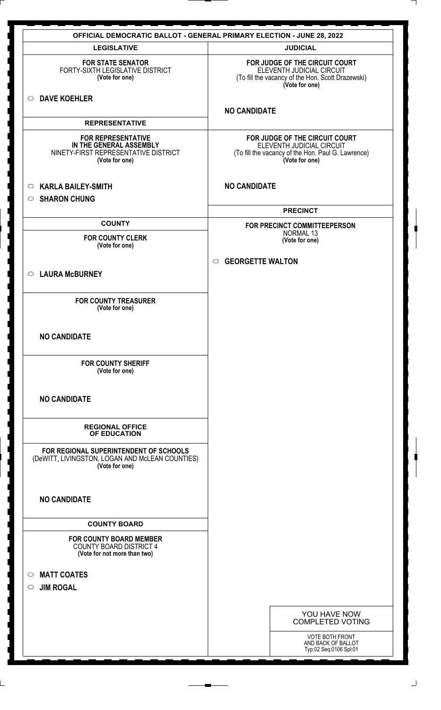|                                                                                                                | <b>OFFICIAL DEMOCRATIC BALLOT - GENERAL PRIMARY ELECTION - JUNE 28, 2022</b>                                                        |
|----------------------------------------------------------------------------------------------------------------|-------------------------------------------------------------------------------------------------------------------------------------|
| <b>LEGISLATIVE</b>                                                                                             | <b>JUDICIAL</b>                                                                                                                     |
| <b>FOR STATE SENATOR</b><br>FORTY-SIXTH LEGISLATIVE DISTRICT<br>(Vote for one)                                 | FOR JUDGE OF THE CIRCUIT COURT<br>ELEVENTH JUDICIAL CIRCUIT<br>(To fill the vacancy of the Hon. Scott Drazewski)<br>(Vote for one)  |
| <b>DAVE KOEHLER</b><br>$\circ$                                                                                 | <b>NO CANDIDATE</b>                                                                                                                 |
| <b>REPRESENTATIVE</b>                                                                                          |                                                                                                                                     |
| <b>FOR REPRESENTATIVE</b><br>IN THE GENERAL ASSEMBLY<br>NINETY-FIRST REPRESENTATIVE DISTRICT<br>(Vote for one) | FOR JUDGE OF THE CIRCUIT COURT<br>ELEVENTH JUDICIAL CIRCUIT<br>(To fill the vacancy of the Hon. Paul G. Lawrence)<br>(Vote for one) |
| <b>KARLA BAILEY-SMITH</b><br>$\circ$<br><b>SHARON CHUNG</b><br>$\circ$                                         | <b>NO CANDIDATE</b>                                                                                                                 |
|                                                                                                                | <b>PRECINCT</b>                                                                                                                     |
| <b>COUNTY</b>                                                                                                  | FOR PRECINCT COMMITTEEPERSON<br>NORMAL 13                                                                                           |
| <b>FOR COUNTY CLERK</b><br>(Vote for one)                                                                      | (Vote for one)                                                                                                                      |
|                                                                                                                | <b>GEORGETTE WALTON</b><br>$\circ$                                                                                                  |
| <b>LAURA McBURNEY</b><br>$\circ$                                                                               |                                                                                                                                     |
|                                                                                                                |                                                                                                                                     |
| <b>FOR COUNTY TREASURER</b><br>(Vote for one)                                                                  |                                                                                                                                     |
| <b>NO CANDIDATE</b>                                                                                            |                                                                                                                                     |
| <b>FOR COUNTY SHERIFF</b><br>(Vote for one)                                                                    |                                                                                                                                     |
| <b>NO CANDIDATE</b>                                                                                            |                                                                                                                                     |
| <b>REGIONAL OFFICE</b><br>OF EDUCATION                                                                         |                                                                                                                                     |
| FOR REGIONAL SUPERINTENDENT OF SCHOOLS<br>(DeWITT, LIVINGSTON, LOGAN AND McLEAN COUNTIES)<br>(Vote for one)    |                                                                                                                                     |
| <b>NO CANDIDATE</b>                                                                                            |                                                                                                                                     |
| <b>COUNTY BOARD</b>                                                                                            |                                                                                                                                     |
| <b>FOR COUNTY BOARD MEMBER</b><br><b>COUNTY BOARD DISTRICT 4</b><br>(Vote for not more than two)               |                                                                                                                                     |
| <b>MATT COATES</b><br>$\circ$                                                                                  |                                                                                                                                     |
| <b>JIM ROGAL</b><br>$\circ$                                                                                    |                                                                                                                                     |
|                                                                                                                |                                                                                                                                     |
|                                                                                                                | YOU HAVE NOW<br><b>COMPLETED VOTING</b>                                                                                             |
|                                                                                                                | VOTE BOTH FRONT<br>AND BACK OF BALLOT<br>Typ:02 Seq:0106 Spl:01                                                                     |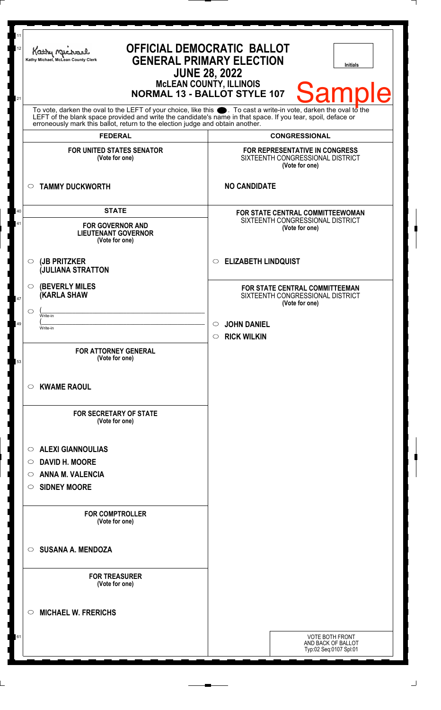| <b>Sample</b><br>To vote, darken the oval to the LEFT of your choice, like this $\bullet$ . To cast a write-in vote, darken the oval to the LEFT of the blank space provided and write the candidate's name in that space. If you tear, spoil, deface<br>erroneously mark this ballot, return to the election judge and obtain another.<br><b>FEDERAL</b><br><b>CONGRESSIONAL</b><br><b>FOR UNITED STATES SENATOR</b><br>FOR REPRESENTATIVE IN CONGRESS<br>SIXTEENTH CONGRESSIONAL DISTRICT<br>(Vote for one)<br>(Vote for one)<br><b>NO CANDIDATE</b><br><b>TAMMY DUCKWORTH</b><br>$\circ$<br><b>STATE</b><br>40<br><b>FOR STATE CENTRAL COMMITTEEWOMAN</b><br>SIXTEENTH CONGRESSIONAL DISTRICT<br>41<br><b>FOR GOVERNOR AND</b><br>(Vote for one)<br><b>LIEUTENANT GOVERNOR</b><br>(Vote for one) |  |
|-----------------------------------------------------------------------------------------------------------------------------------------------------------------------------------------------------------------------------------------------------------------------------------------------------------------------------------------------------------------------------------------------------------------------------------------------------------------------------------------------------------------------------------------------------------------------------------------------------------------------------------------------------------------------------------------------------------------------------------------------------------------------------------------------------|--|
|                                                                                                                                                                                                                                                                                                                                                                                                                                                                                                                                                                                                                                                                                                                                                                                                     |  |
|                                                                                                                                                                                                                                                                                                                                                                                                                                                                                                                                                                                                                                                                                                                                                                                                     |  |
|                                                                                                                                                                                                                                                                                                                                                                                                                                                                                                                                                                                                                                                                                                                                                                                                     |  |
|                                                                                                                                                                                                                                                                                                                                                                                                                                                                                                                                                                                                                                                                                                                                                                                                     |  |
|                                                                                                                                                                                                                                                                                                                                                                                                                                                                                                                                                                                                                                                                                                                                                                                                     |  |
| <b>ELIZABETH LINDQUIST</b><br>(JB PRITZKER<br>O<br>$\circ$<br><b>JULIANA STRATTON</b>                                                                                                                                                                                                                                                                                                                                                                                                                                                                                                                                                                                                                                                                                                               |  |
| <b>(BEVERLY MILES)</b><br>O<br>FOR STATE CENTRAL COMMITTEEMAN<br><b>KARLA SHAW</b><br>SIXTEENTH CONGRESSIONAL DISTRICT<br>47<br>(Vote for one)                                                                                                                                                                                                                                                                                                                                                                                                                                                                                                                                                                                                                                                      |  |
| ◯<br>Write-in                                                                                                                                                                                                                                                                                                                                                                                                                                                                                                                                                                                                                                                                                                                                                                                       |  |
| <b>JOHN DANIEL</b><br>49<br>$\circ$<br>Write-in                                                                                                                                                                                                                                                                                                                                                                                                                                                                                                                                                                                                                                                                                                                                                     |  |
| <b>RICK WILKIN</b><br>$\circ$                                                                                                                                                                                                                                                                                                                                                                                                                                                                                                                                                                                                                                                                                                                                                                       |  |
| <b>FOR ATTORNEY GENERAL</b><br>(Vote for one)<br>53                                                                                                                                                                                                                                                                                                                                                                                                                                                                                                                                                                                                                                                                                                                                                 |  |
| <b>KWAME RAOUL</b><br>$\circ$                                                                                                                                                                                                                                                                                                                                                                                                                                                                                                                                                                                                                                                                                                                                                                       |  |
| <b>FOR SECRETARY OF STATE</b><br>(Vote for one)                                                                                                                                                                                                                                                                                                                                                                                                                                                                                                                                                                                                                                                                                                                                                     |  |
| <b>ALEXI GIANNOULIAS</b><br>O                                                                                                                                                                                                                                                                                                                                                                                                                                                                                                                                                                                                                                                                                                                                                                       |  |
| <b>DAVID H. MOORE</b><br>$\circ$                                                                                                                                                                                                                                                                                                                                                                                                                                                                                                                                                                                                                                                                                                                                                                    |  |
| <b>ANNA M. VALENCIA</b><br>O                                                                                                                                                                                                                                                                                                                                                                                                                                                                                                                                                                                                                                                                                                                                                                        |  |
| <b>SIDNEY MOORE</b><br>O                                                                                                                                                                                                                                                                                                                                                                                                                                                                                                                                                                                                                                                                                                                                                                            |  |
| <b>FOR COMPTROLLER</b><br>(Vote for one)                                                                                                                                                                                                                                                                                                                                                                                                                                                                                                                                                                                                                                                                                                                                                            |  |
| <b>SUSANA A. MENDOZA</b><br>$\circ$                                                                                                                                                                                                                                                                                                                                                                                                                                                                                                                                                                                                                                                                                                                                                                 |  |
| <b>FOR TREASURER</b><br>(Vote for one)                                                                                                                                                                                                                                                                                                                                                                                                                                                                                                                                                                                                                                                                                                                                                              |  |
| <b>MICHAEL W. FRERICHS</b><br>◯                                                                                                                                                                                                                                                                                                                                                                                                                                                                                                                                                                                                                                                                                                                                                                     |  |
| <b>VOTE BOTH FRONT</b><br>61<br>AND BACK OF BALLOT<br>Typ:02 Seq:0107 Spl:01                                                                                                                                                                                                                                                                                                                                                                                                                                                                                                                                                                                                                                                                                                                        |  |